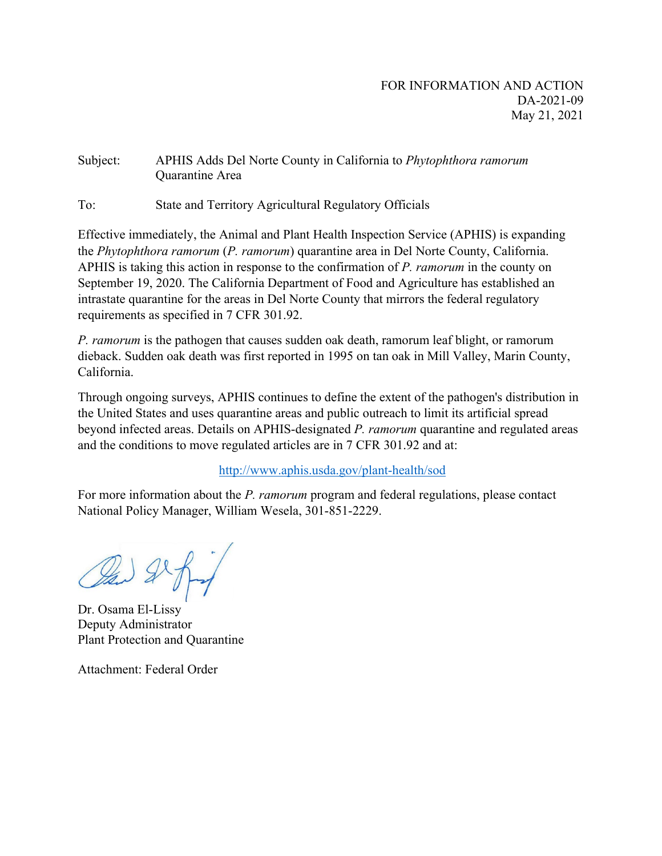# Subject: APHIS Adds Del Norte County in California to *Phytophthora ramorum* Quarantine Area

To: State and Territory Agricultural Regulatory Officials

Effective immediately, the Animal and Plant Health Inspection Service (APHIS) is expanding the *Phytophthora ramorum* (*P. ramorum*) quarantine area in Del Norte County, California. APHIS is taking this action in response to the confirmation of *P. ramorum* in the county on September 19, 2020. The California Department of Food and Agriculture has established an intrastate quarantine for the areas in Del Norte County that mirrors the federal regulatory requirements as specified in 7 CFR 301.92.

*P. ramorum* is the pathogen that causes sudden oak death, ramorum leaf blight, or ramorum dieback. Sudden oak death was first reported in 1995 on tan oak in Mill Valley, Marin County, California.

Through ongoing surveys, APHIS continues to define the extent of the pathogen's distribution in the United States and uses quarantine areas and public outreach to limit its artificial spread beyond infected areas. Details on APHIS-designated *P. ramorum* quarantine and regulated areas and the conditions to move regulated articles are in 7 CFR 301.92 and at:

# <http://www.aphis.usda.gov/plant-health/sod>

For more information about the *P. ramorum* program and federal regulations, please contact National Policy Manager, William Wesela, 301-851-2229.

Dr. Osama El-Lissy Deputy Administrator Plant Protection and Quarantine

Attachment: Federal Order